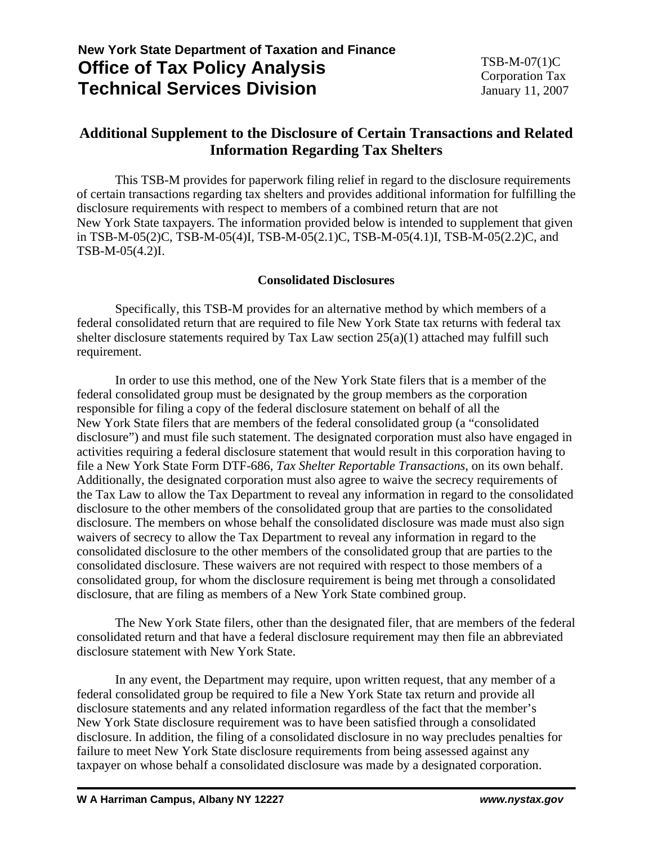# **New York State Department of Taxation and Finance Office of Tax Policy Analysis Technical Services Division**

## **Additional Supplement to the Disclosure of Certain Transactions and Related Information Regarding Tax Shelters**

 This TSB-M provides for paperwork filing relief in regard to the disclosure requirements of certain transactions regarding tax shelters and provides additional information for fulfilling the disclosure requirements with respect to members of a combined return that are not New York State taxpayers. The information provided below is intended to supplement that given in TSB-M-05(2)C, TSB-M-05(4)I, TSB-M-05(2.1)C, TSB-M-05(4.1)I, TSB-M-05(2.2)C, and TSB-M-05(4.2)I.

### **Consolidated Disclosures**

Specifically, this TSB-M provides for an alternative method by which members of a federal consolidated return that are required to file New York State tax returns with federal tax shelter disclosure statements required by Tax Law section 25(a)(1) attached may fulfill such requirement.

In order to use this method, one of the New York State filers that is a member of the federal consolidated group must be designated by the group members as the corporation responsible for filing a copy of the federal disclosure statement on behalf of all the New York State filers that are members of the federal consolidated group (a "consolidated disclosure") and must file such statement. The designated corporation must also have engaged in activities requiring a federal disclosure statement that would result in this corporation having to file a New York State Form DTF-686, *Tax Shelter Reportable Transactions*, on its own behalf. Additionally, the designated corporation must also agree to waive the secrecy requirements of the Tax Law to allow the Tax Department to reveal any information in regard to the consolidated disclosure to the other members of the consolidated group that are parties to the consolidated disclosure. The members on whose behalf the consolidated disclosure was made must also sign waivers of secrecy to allow the Tax Department to reveal any information in regard to the consolidated disclosure to the other members of the consolidated group that are parties to the consolidated disclosure. These waivers are not required with respect to those members of a consolidated group, for whom the disclosure requirement is being met through a consolidated disclosure, that are filing as members of a New York State combined group.

The New York State filers, other than the designated filer, that are members of the federal consolidated return and that have a federal disclosure requirement may then file an abbreviated disclosure statement with New York State.

In any event, the Department may require, upon written request, that any member of a federal consolidated group be required to file a New York State tax return and provide all disclosure statements and any related information regardless of the fact that the member's New York State disclosure requirement was to have been satisfied through a consolidated disclosure. In addition, the filing of a consolidated disclosure in no way precludes penalties for failure to meet New York State disclosure requirements from being assessed against any taxpayer on whose behalf a consolidated disclosure was made by a designated corporation.